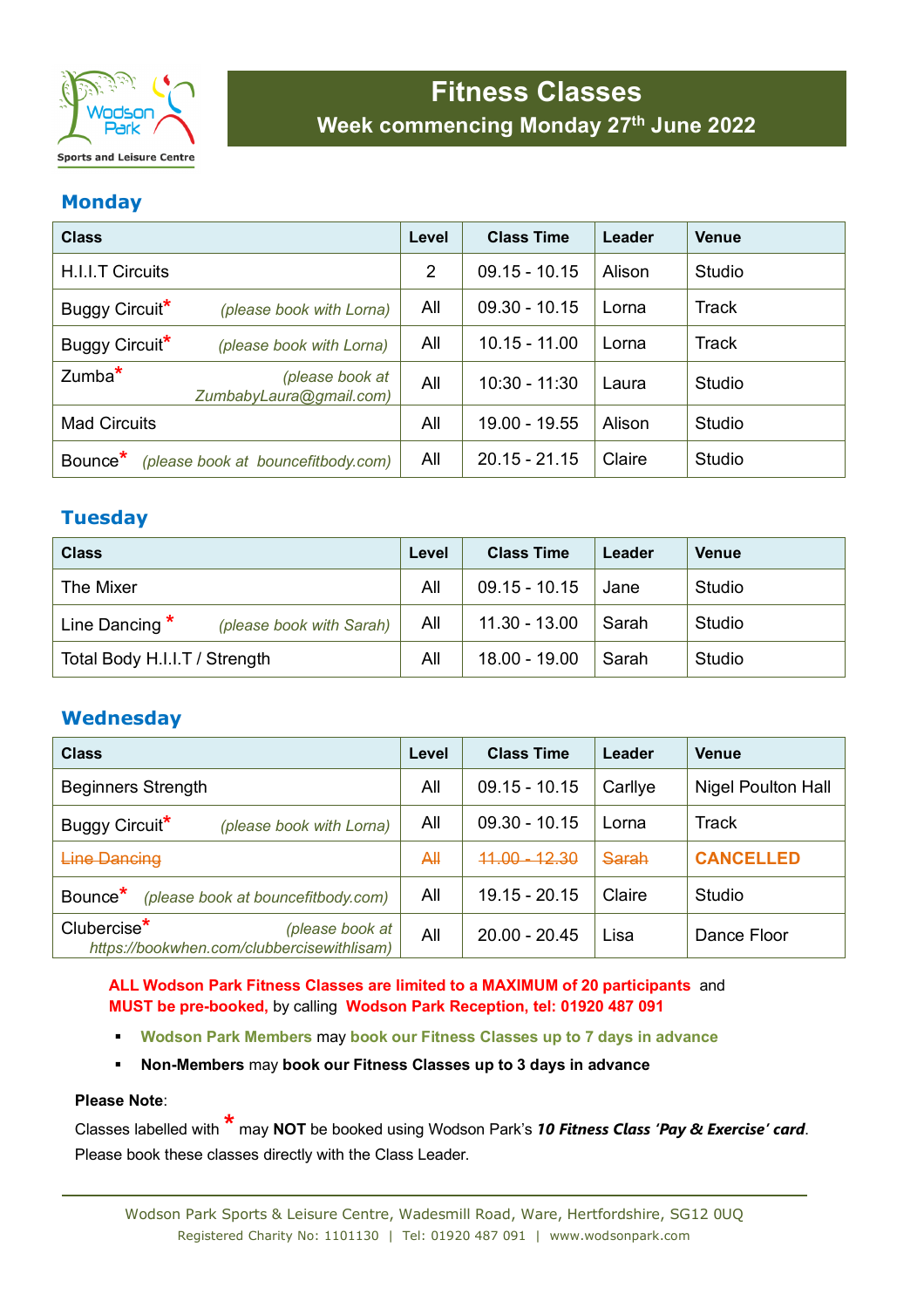

# **Fitness Classes Week commencing Monday 27th June 2022**

## **Monday**

| <b>Class</b>                                              |                                            | Level | <b>Class Time</b> | Leader | <b>Venue</b>  |
|-----------------------------------------------------------|--------------------------------------------|-------|-------------------|--------|---------------|
| H.I.I.T Circuits                                          |                                            | 2     | $09.15 - 10.15$   | Alison | Studio        |
| Buggy Circuit <sup>*</sup>                                | (please book with Lorna)                   | All   | $09.30 - 10.15$   | Lorna  | <b>Track</b>  |
| Buggy Circuit <sup>*</sup>                                | (please book with Lorna)                   | All   | $10.15 - 11.00$   | Lorna  | <b>Track</b>  |
| $Zumba^*$                                                 | (please book at<br>ZumbabyLaura@gmail.com) | All   | $10:30 - 11:30$   | Laura  | <b>Studio</b> |
| <b>Mad Circuits</b>                                       |                                            | All   | 19.00 - 19.55     | Alison | <b>Studio</b> |
| Bounce <sup>*</sup><br>(please book at bouncefitbody.com) |                                            | All   | $20.15 - 21.15$   | Claire | <b>Studio</b> |

# **Tuesday**

| <b>Class</b>                                 |     | <b>Class Time</b> | Leader | <b>Venue</b> |
|----------------------------------------------|-----|-------------------|--------|--------------|
| The Mixer                                    | All | $09.15 - 10.15$   | Jane   | Studio       |
| Line Dancing $*$<br>(please book with Sarah) | All | $11.30 - 13.00$   | Sarah  | Studio       |
| Total Body H.I.I.T / Strength                |     | $18.00 - 19.00$   | Sarah  | Studio       |

# **Wednesday**

| <b>Class</b>                                                                             |     | <b>Class Time</b> | Leader  | <b>Venue</b>              |
|------------------------------------------------------------------------------------------|-----|-------------------|---------|---------------------------|
| <b>Beginners Strength</b>                                                                |     | $09.15 - 10.15$   | Carllye | <b>Nigel Poulton Hall</b> |
| Buggy Circuit <sup>*</sup><br>(please book with Lorna)                                   | All | $09.30 - 10.15$   | Lorna   | <b>Track</b>              |
| <b>Line Dancing</b>                                                                      |     | $44.00 - 12.30$   | Sarah   | <b>CANCELLED</b>          |
| Bounce <sup>*</sup><br>(please book at bouncefitbody.com)                                | All | $19.15 - 20.15$   | Claire  | Studio                    |
| Clubercise <sup>*</sup><br>(please book at<br>https://bookwhen.com/clubbercisewithlisam) | All | $20.00 - 20.45$   | Lisa    | Dance Floor               |

**ALL Wodson Park Fitness Classes are limited to a MAXIMUM of 20 participants** and **MUST be pre-booked,** by calling **Wodson Park Reception, tel: 01920 487 091** 

- **Wodson Park Members** may **book our Fitness Classes up to 7 days in advance**
- **Non-Members** may **book our Fitness Classes up to 3 days in advance**

#### **Please Note**:

Classes labelled with **\*** may **NOT** be booked using Wodson Park's *10 Fitness Class 'Pay & Exercise' card*. Please book these classes directly with the Class Leader.